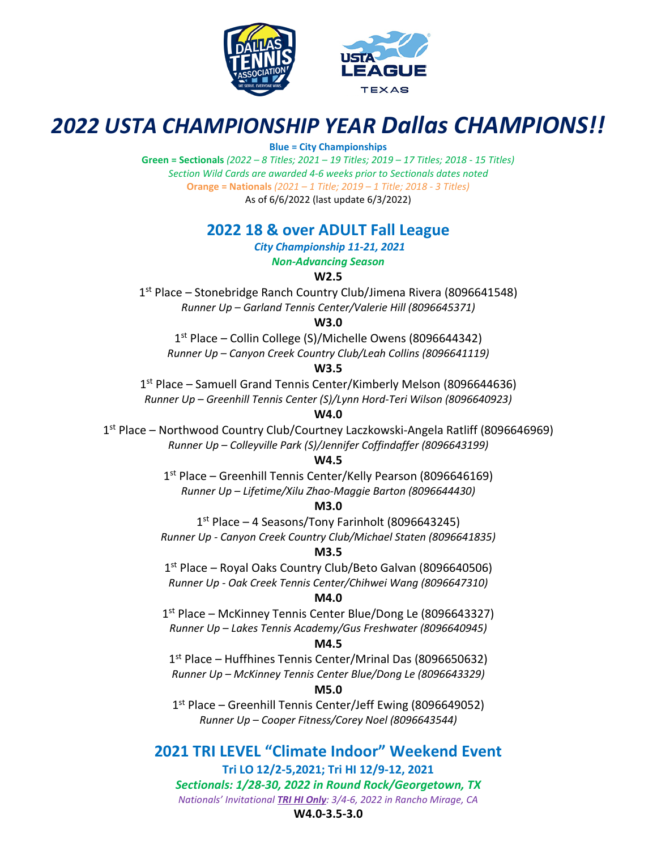



# *2022 USTA CHAMPIONSHIP YEAR Dallas CHAMPIONS!!*

#### **Blue = City Championships**

**Green = Sectionals** *(2022 – 8 Titles; 2021 – 19 Titles; 2019 – 17 Titles; 2018 - 15 Titles) Section Wild Cards are awarded 4-6 weeks prior to Sectionals dates noted* **Orange = Nationals** *(2021 – 1 Title; 2019 – 1 Title; 2018 - 3 Titles)* As of 6/6/2022 (last update 6/3/2022)

## **2022 18 & over ADULT Fall League**

*City Championship 11-21, 2021*

## *Non-Advancing Season*

**W2.5**

1<sup>st</sup> Place – Stonebridge Ranch Country Club/Jimena Rivera (8096641548) *Runner Up – Garland Tennis Center/Valerie Hill (8096645371)*

**W3.0**

1st Place – Collin College (S)/Michelle Owens (8096644342) *Runner Up – Canyon Creek Country Club/Leah Collins (8096641119)*

#### **W3.5**

1<sup>st</sup> Place – Samuell Grand Tennis Center/Kimberly Melson (8096644636) *Runner Up – Greenhill Tennis Center (S)/Lynn Hord-Teri Wilson (8096640923)*

#### **W4.0**

1st Place – Northwood Country Club/Courtney Laczkowski-Angela Ratliff (8096646969) *Runner Up – Colleyville Park (S)/Jennifer Coffindaffer (8096643199)*

#### **W4.5**

1st Place – Greenhill Tennis Center/Kelly Pearson (8096646169) *Runner Up – Lifetime/Xilu Zhao-Maggie Barton (8096644430)*

#### **M3.0**

 $1<sup>st</sup>$  Place – 4 Seasons/Tony Farinholt (8096643245) *Runner Up - Canyon Creek Country Club/Michael Staten (8096641835)*

#### **M3.5**

1<sup>st</sup> Place – Royal Oaks Country Club/Beto Galvan (8096640506) *Runner Up - Oak Creek Tennis Center/Chihwei Wang (8096647310)*

#### **M4.0**

1<sup>st</sup> Place – McKinney Tennis Center Blue/Dong Le (8096643327) *Runner Up – Lakes Tennis Academy/Gus Freshwater (8096640945)*

#### **M4.5**

1st Place – Huffhines Tennis Center/Mrinal Das (8096650632) *Runner Up – McKinney Tennis Center Blue/Dong Le (8096643329)*

#### **M5.0**

1<sup>st</sup> Place – Greenhill Tennis Center/Jeff Ewing (8096649052) *Runner Up – Cooper Fitness/Corey Noel (8096643544)*

**2021 TRI LEVEL "Climate Indoor" Weekend Event Tri LO 12/2-5,2021; Tri HI 12/9-12, 2021** *Sectionals: 1/28-30, 2022 in Round Rock/Georgetown, TX Nationals' Invitational TRI HI Only: 3/4-6, 2022 in Rancho Mirage, CA*

#### **W4.0-3.5-3.0**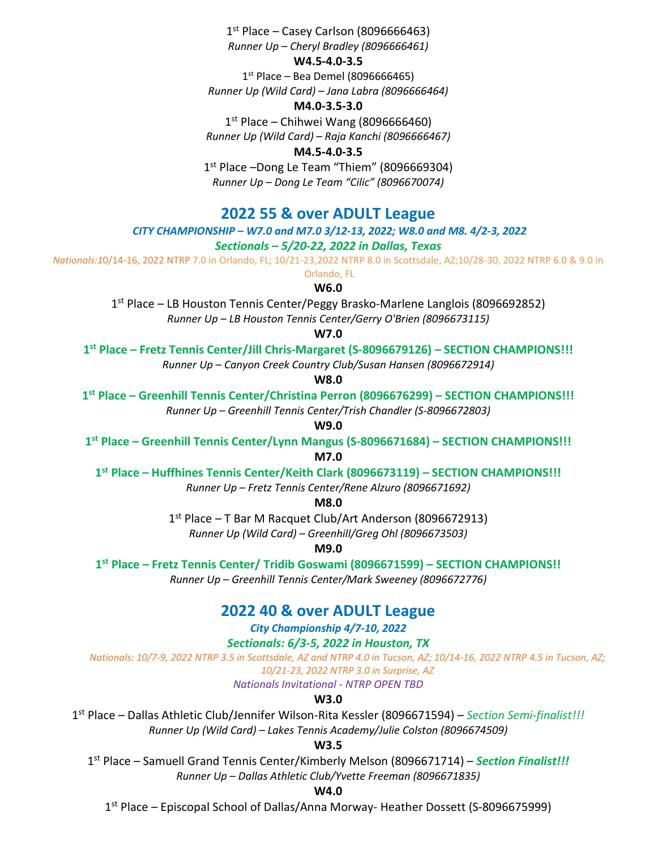$1<sup>st</sup>$  Place – Casey Carlson (8096666463) *Runner Up – Cheryl Bradley (8096666461)*

#### **W4.5-4.0-3.5**

 $1<sup>st</sup>$  Place – Bea Demel (8096666465) *Runner Up (Wild Card) – Jana Labra (8096666464)*

#### **M4.0-3.5-3.0**

 $1<sup>st</sup>$  Place – Chihwei Wang (8096666460) *Runner Up (Wild Card) – Raja Kanchi (8096666467)*

**M4.5-4.0-3.5**

1<sup>st</sup> Place –Dong Le Team "Thiem" (8096669304) *Runner Up – Dong Le Team "Cilic" (8096670074)*

## **2022 55 & over ADULT League**

## *CITY CHAMPIONSHIP – W7.0 and M7.0 3/12-13, 2022; W8.0 and M8. 4/2-3, 2022*

*Sectionals – 5/20-22, 2022 in Dallas, Texas*

*Nationals:1*0/14-16, 2022 NTRP 7.0 in Orlando, FL; 10/21-23,2022 NTRP 8.0 in Scottsdale, AZ;10/28-30, 2022 NTRP 6.0 & 9.0 in Orlando, FL

**W6.0**

1st Place – LB Houston Tennis Center/Peggy Brasko-Marlene Langlois (8096692852) *Runner Up – LB Houston Tennis Center/Gerry O'Brien (8096673115)*

#### **W7.0**

**1st Place – Fretz Tennis Center/Jill Chris-Margaret (S-8096679126) – SECTION CHAMPIONS!!!** *Runner Up – Canyon Creek Country Club/Susan Hansen (8096672914)*

**W8.0**

**1st Place – Greenhill Tennis Center/Christina Perron (8096676299) – SECTION CHAMPIONS!!!**

*Runner Up – Greenhill Tennis Center/Trish Chandler (S-8096672803)*

**W9.0**

**1st Place – Greenhill Tennis Center/Lynn Mangus (S-8096671684) – SECTION CHAMPIONS!!!**

**M7.0**

**1st Place – Huffhines Tennis Center/Keith Clark (8096673119) – SECTION CHAMPIONS!!!**

*Runner Up – Fretz Tennis Center/Rene Alzuro (8096671692)*

**M8.0**

1st Place – T Bar M Racquet Club/Art Anderson (8096672913)

*Runner Up (Wild Card) – Greenhill/Greg Ohl (8096673503)*

**M9.0**

**1st Place – Fretz Tennis Center/ Tridib Goswami (8096671599) – SECTION CHAMPIONS!!**

*Runner Up – Greenhill Tennis Center/Mark Sweeney (8096672776)*

## **2022 40 & over ADULT League**

*City Championship 4/7-10, 2022*

*Sectionals: 6/3-5, 2022 in Houston, TX*

*Nationals: 10/7-9, 2022 NTRP 3.5 in Scottsdale, AZ and NTRP 4.0 in Tucson, AZ; 10/14-16, 2022 NTRP 4.5 in Tucson, AZ; 10/21-23, 2022 NTRP 3.0 in Surprise, AZ*

*Nationals Invitational - NTRP OPEN TBD*

**W3.0**

1st Place – Dallas Athletic Club/Jennifer Wilson-Rita Kessler (8096671594) – *Section Semi-finalist!!! Runner Up (Wild Card) – Lakes Tennis Academy/Julie Colston (8096674509)*

**W3.5**

1st Place – Samuell Grand Tennis Center/Kimberly Melson (8096671714) – *Section Finalist!!! Runner Up – Dallas Athletic Club/Yvette Freeman (8096671835)*

**W4.0**

1st Place – Episcopal School of Dallas/Anna Morway- Heather Dossett (S-8096675999)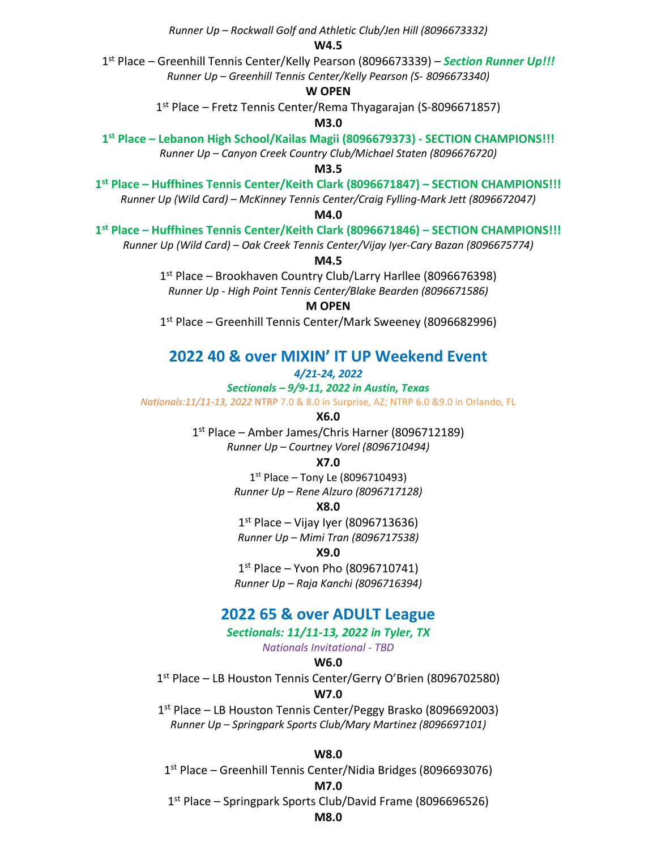*Runner Up – Rockwall Golf and Athletic Club/Jen Hill (8096673332)* **W4.5** 1st Place – Greenhill Tennis Center/Kelly Pearson (8096673339) – *Section Runner Up!!! Runner Up – Greenhill Tennis Center/Kelly Pearson (S- 8096673340)* **W OPEN** 1st Place – Fretz Tennis Center/Rema Thyagarajan (S-8096671857) **M3.0 1st Place – Lebanon High School/Kailas Magii (8096679373) - SECTION CHAMPIONS!!!** *Runner Up – Canyon Creek Country Club/Michael Staten (8096676720)* **M3.5 1st Place – Huffhines Tennis Center/Keith Clark (8096671847) – SECTION CHAMPIONS!!!** *Runner Up (Wild Card) – McKinney Tennis Center/Craig Fylling-Mark Jett (8096672047)* **M4.0 1st Place – Huffhines Tennis Center/Keith Clark (8096671846) – SECTION CHAMPIONS!!!**  *Runner Up (Wild Card) – Oak Creek Tennis Center/Vijay Iyer-Cary Bazan (8096675774)* **M4.5** 1st Place – Brookhaven Country Club/Larry Harllee (8096676398) *Runner Up - High Point Tennis Center/Blake Bearden (8096671586)* **M OPEN** 1<sup>st</sup> Place – Greenhill Tennis Center/Mark Sweeney (8096682996) **2022 40 & over MIXIN' IT UP Weekend Event** *4/21-24, 2022 Sectionals – 9/9-11, 2022 in Austin, Texas Nationals:11/11-13, 2022* NTRP 7.0 & 8.0 in Surprise, AZ; NTRP 6.0 &9.0 in Orlando, FL **X6.0**

> 1st Place – Amber James/Chris Harner (8096712189) *Runner Up – Courtney Vorel (8096710494)*

> > **X7.0**

 $1<sup>st</sup>$  Place – Tony Le (8096710493) *Runner Up – Rene Alzuro (8096717128)*

**X8.0**

 $1<sup>st</sup>$  Place – Vijay Iyer (8096713636)

*Runner Up – Mimi Tran (8096717538)*

**X9.0**

 $1<sup>st</sup>$  Place – Yvon Pho (8096710741) *Runner Up – Raja Kanchi (8096716394)*

### **2022 65 & over ADULT League**

*Sectionals: 11/11-13, 2022 in Tyler, TX*

*Nationals Invitational - TBD*

#### **W6.0**

1<sup>st</sup> Place – LB Houston Tennis Center/Gerry O'Brien (8096702580)

#### **W7.0**

1<sup>st</sup> Place – LB Houston Tennis Center/Peggy Brasko (8096692003) *Runner Up – Springpark Sports Club/Mary Martinez (8096697101)*

**W8.0**

1st Place – Greenhill Tennis Center/Nidia Bridges (8096693076)

#### **M7.0**

1st Place – Springpark Sports Club/David Frame (8096696526)

#### **M8.0**